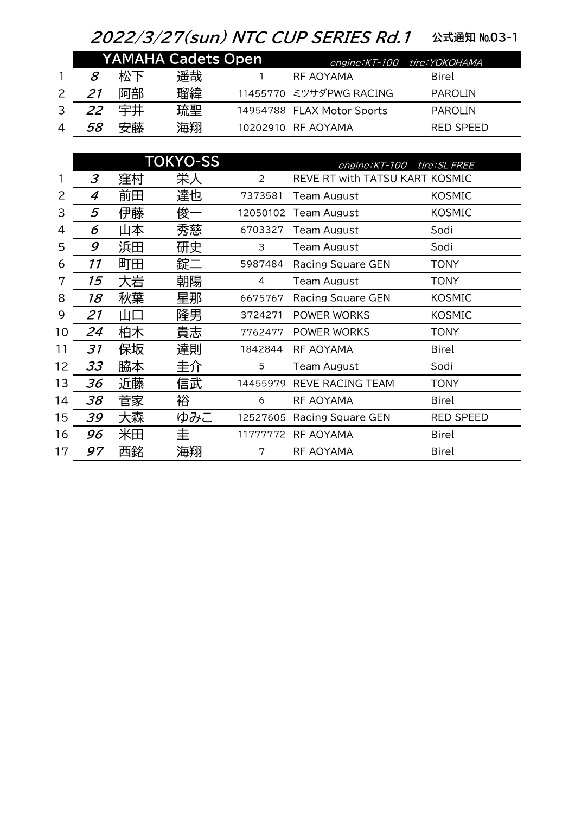## 2022/3/27(sun) NTC CUP SERIES Rd.1 公式通知 №03-1

|                | <b>YAMAHA Cadets Open</b> |    |    |  | engine: KT-100 tire: YOKOHAMA |                  |  |
|----------------|---------------------------|----|----|--|-------------------------------|------------------|--|
|                | 8                         | 松下 | 遥哉 |  | RF AOYAMA                     | Birel            |  |
|                |                           | 阿部 | 瑠緯 |  | 11455770 ミツサダPWG RACING       | <b>PAROLIN</b>   |  |
| 3              | 22                        |    | 琉聖 |  | 14954788 FLAX Motor Sports    | <b>PAROLIN</b>   |  |
| $\overline{A}$ | 58                        | 安藤 | 海翔 |  | 10202910 RF AOYAMA            | <b>RED SPEED</b> |  |

|    |    |    | <b>TOKYO-SS</b> |                | tire: SL FREE<br>engine: KT-100 |                  |  |
|----|----|----|-----------------|----------------|---------------------------------|------------------|--|
|    | 3  | 窪村 | 栄人              | $\overline{2}$ | REVE RT with TATSU KART KOSMIC  |                  |  |
| 2  | 4  | 前田 | 達也              | 7373581        | Team August                     | <b>KOSMIC</b>    |  |
| 3  | 5  | 伊藤 | 俊-              | 12050102       | Team August                     | <b>KOSMIC</b>    |  |
| 4  | 6  | 山本 | 秀慈              | 6703327        | Team August                     | Sodi             |  |
| 5  | 9  | 浜田 | 研史              | 3              | Team August                     | Sodi             |  |
| 6  | 11 | 町田 | 錠二              | 5987484        | <b>Racing Square GEN</b>        | <b>TONY</b>      |  |
| 7  | 15 | 大岩 | 朝陽              | 4              | Team August                     | <b>TONY</b>      |  |
| 8  | 18 | 秋葉 | 星那              | 6675767        | Racing Square GEN               | <b>KOSMIC</b>    |  |
| 9  | 21 | 山口 | 隆男              | 3724271        | POWER WORKS                     | <b>KOSMIC</b>    |  |
| 10 | 24 | 柏木 | 貴志              | 7762477        | POWER WORKS                     | <b>TONY</b>      |  |
| 11 | 31 | 保坂 | 達則              | 1842844        | RF AOYAMA                       | Birel            |  |
| 12 | 33 | 脇本 | 圭介              | 5              | <b>Team August</b>              | Sodi             |  |
| 13 | 36 | 近藤 | 信武              | 14455979       | REVE RACING TEAM                | <b>TONY</b>      |  |
| 14 | 38 | 菅家 | 裕               | 6              | RF AOYAMA                       | <b>Birel</b>     |  |
| 15 | 39 | 大森 | ゆみこ             | 12527605       | Racing Square GEN               | <b>RED SPEED</b> |  |
| 16 | 96 | 米田 | 圭               | 11777772       | RF AOYAMA                       | <b>Birel</b>     |  |
| 17 | 97 | 西銘 | 海翔              | 7              | RF AOYAMA                       | <b>Birel</b>     |  |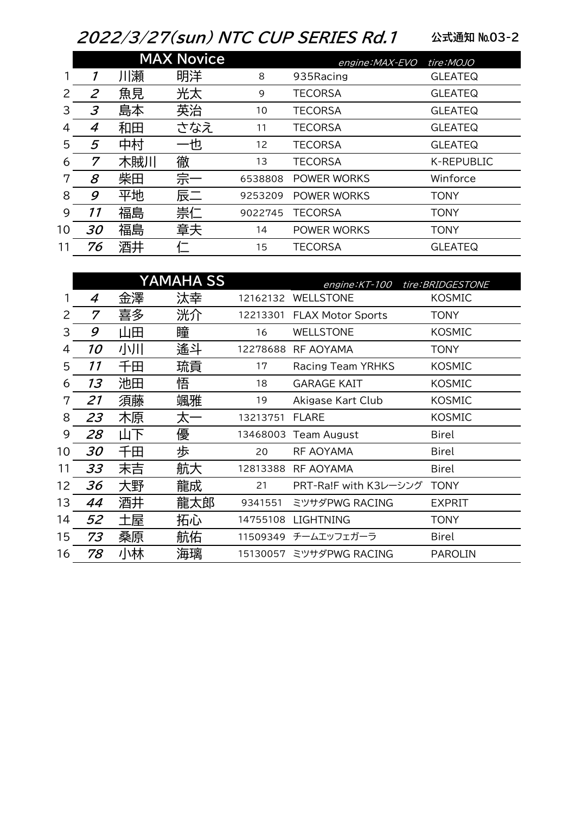## 2022/3/27(sun) NTC CUP SERIES Rd.1

公式通知 №03-2

|    |                |     | <b>MAX Novice</b> |         | engine: MAX-EVO | tire:MOJO      |
|----|----------------|-----|-------------------|---------|-----------------|----------------|
|    |                | 川瀬  | 明洋                | 8       | 935Racing       | <b>GLEATEQ</b> |
| 2  | $\overline{2}$ | 魚見  | 光太                | 9       | <b>TECORSA</b>  | <b>GLEATEQ</b> |
| 3  | 3              | 島本  | 英治                | 10      | <b>TECORSA</b>  | <b>GLEATEQ</b> |
| 4  | 4              | 和田  | さなえ               | 11      | <b>TECORSA</b>  | <b>GLEATEQ</b> |
| 5  | 5              | 中村  | –也                | 12      | <b>TECORSA</b>  | <b>GLEATEQ</b> |
| 6  | 7              | 木賊川 | 徹                 | 13      | <b>TECORSA</b>  | K-REPUBLIC     |
| 7  | 8              | 柴田  | 宗一                | 6538808 | POWER WORKS     | Winforce       |
| 8  | 9              | 平地  | 辰二                | 9253209 | POWER WORKS     | <b>TONY</b>    |
| 9  | 11             | 福島  | 崇仁                | 9022745 | <b>TECORSA</b>  | <b>TONY</b>    |
| 10 | 30             | 福島  | 章夫                | 14      | POWER WORKS     | <b>TONY</b>    |
| 11 | 76             | 酒井  |                   | 15      | <b>TECORSA</b>  | <b>GLEATEQ</b> |

|    |    |     |                  | engine: KT-100           | tire: BRIDGESTONE     |
|----|----|-----|------------------|--------------------------|-----------------------|
| 4  | 金澤 | 汰幸  | 12162132         | <b>WELLSTONE</b>         | <b>KOSMIC</b>         |
| 7  | 喜多 | 洸介  | 12213301         | <b>FLAX Motor Sports</b> | <b>TONY</b>           |
| 9  | 山田 | 瞳   | 16               | <b>WELLSTONE</b>         | <b>KOSMIC</b>         |
| 10 | 小川 | 遙斗  | 12278688         | RF AOYAMA                | TONY                  |
| 11 | 千田 | 琉貢  | 17               | <b>Racing Team YRHKS</b> | <b>KOSMIC</b>         |
| 13 | 池田 | 悟   | 18               | <b>GARAGE KAIT</b>       | <b>KOSMIC</b>         |
| 21 | 須藤 | 颯雅  | 19               | Akigase Kart Club        | <b>KOSMIC</b>         |
| 23 | 木原 | 太一  | 13213751         | <b>FLARE</b>             | <b>KOSMIC</b>         |
| 28 | 山下 | 優   | 13468003         | Team August              | Birel                 |
| 30 | 千田 | 歩   | 20               | <b>RF AOYAMA</b>         | Birel                 |
| 33 | 末吉 | 航大  | 12813388         | <b>RF AOYAMA</b>         | Birel                 |
| 36 | 大野 | 龍成  | 21               |                          | <b>TONY</b>           |
| 44 | 酒井 | 龍太郎 | 9341551          | ミツサダPWG RACING           | <b>EXPRIT</b>         |
| 52 | 土屋 | 拓心  | 14755108         | <b>LIGHTNING</b>         | TONY                  |
| 73 | 桑原 | 航佑  | 11509349         | チームエッフェガーラ               | Birel                 |
| 78 | 小林 | 海璃  | 15130057         | ミツサダPWG RACING           | <b>PAROLIN</b>        |
|    |    |     | <b>YAMAHA SS</b> |                          | PRT-Ra!F with K3レーシング |